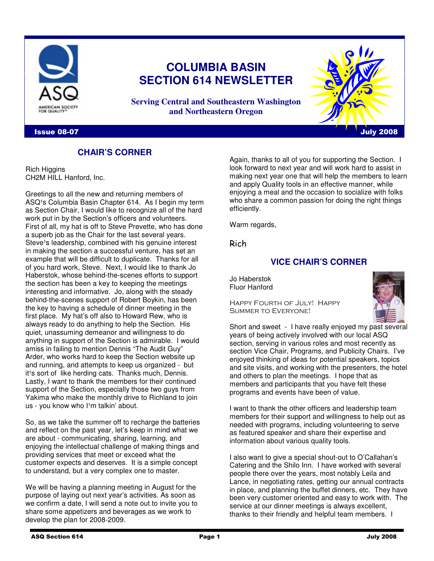

# **COLUMBIA BASIN SECTION 614 NEWSLETTER**

**Serving Central and Southeastern Washington and Northeastern Oregon**

### Issue 08-07 Intervention of the contract of the contract of the contract of the contract of the contract of the contract of the contract of the contract of the contract of the contract of the contract of the contract of th

# **CHAIR'S CORNER**

Rich Higgins CH2M HILL Hanford, Inc.

Greetings to all the new and returning members of ASQ<sup>1</sup>s Columbia Basin Chapter 614. As I begin my term as Section Chair, I would like to recognize all of the hard work put in by the Section's officers and volunteers. First of all, my hat is off to Steve Prevette, who has done a superb job as the Chair for the last several years. Steve<sup>1</sup>s leadership, combined with his genuine interest in making the section a successful venture, has set an example that will be difficult to duplicate. Thanks for all of you hard work, Steve. Next, I would like to thank Jo Haberstok, whose behind-the-scenes efforts to support the section has been a key to keeping the meetings interesting and informative. Jo, along with the steady behind-the-scenes support of Robert Boykin, has been the key to having a schedule of dinner meeting in the first place. My hat's off also to Howard Rew, who is always ready to do anything to help the Section. His quiet, unassuming demeanor and willingness to do anything in support of the Section is admirable. I would amiss in failing to mention Dennis "The Audit Guy" Arder, who works hard to keep the Section website up and running, and attempts to keep us organized - but it<sup>1</sup>s sort of like herding cats. Thanks much, Dennis. Lastly, I want to thank the members for their continued support of the Section, especially those two guys from Yakima who make the monthly drive to Richland to join us - you know who I<sup>1</sup>m talkin' about.

So, as we take the summer off to recharge the batteries and reflect on the past year, let's keep in mind what we are about - communicating, sharing, learning, and enjoying the intellectual challenge of making things and providing services that meet or exceed what the customer expects and deserves. It is a simple concept to understand, but a very complex one to master.

We will be having a planning meeting in August for the purpose of laying out next year's activities. As soon as we confirm a date, I will send a note out to invite you to share some appetizers and beverages as we work to develop the plan for 2008-2009.

Again, thanks to all of you for supporting the Section. I look forward to next year and will work hard to assist in making next year one that will help the members to learn and apply Quality tools in an effective manner, while enjoying a meal and the occasion to socialize with folks who share a common passion for doing the right things efficiently.

Warm regards,

Rich

# **VICE CHAIR'S CORNER**

Jo Haberstok Fluor Hanford

Happy Fourth of July! Happy Summer to Everyone!



Short and sweet - I have really enjoyed my past several years of being actively involved with our local ASQ section, serving in various roles and most recently as section Vice Chair, Programs, and Publicity Chairs. I've enjoyed thinking of ideas for potential speakers, topics and site visits, and working with the presenters, the hotel and others to plan the meetings. I hope that as members and participants that you have felt these programs and events have been of value.

I want to thank the other officers and leadership team members for their support and willingness to help out as needed with programs, including volunteering to serve as featured speaker and share their expertise and information about various quality tools.

I also want to give a special shout-out to O'Callahan's Catering and the Shilo Inn. I have worked with several people there over the years, most notably Leila and Lance, in negotiating rates, getting our annual contracts in place, and planning the buffet dinners, etc. They have been very customer oriented and easy to work with. The service at our dinner meetings is always excellent, thanks to their friendly and helpful team members. I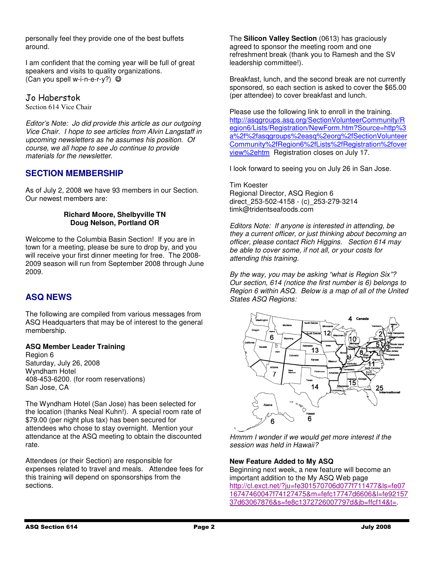personally feel they provide one of the best buffets around.

I am confident that the coming year will be full of great speakers and visits to quality organizations. (Can you spell w-i-n-e-r-y?)  $\odot$ 

# Jo Haberstok

Section 614 Vice Chair

Editor's Note: Jo did provide this article as our outgoing Vice Chair. I hope to see articles from Alvin Langstaff in upcoming newsletters as he assumes his position. Of course, we all hope to see Jo continue to provide materials for the newsletter.

# **SECTION MEMBERSHIP**

As of July 2, 2008 we have 93 members in our Section. Our newest members are:

#### **Richard Moore, Shelbyville TN Doug Nelson, Portland OR**

Welcome to the Columbia Basin Section! If you are in town for a meeting, please be sure to drop by, and you will receive your first dinner meeting for free. The 2008- 2009 season will run from September 2008 through June 2009.

# **ASQ NEWS**

The following are compiled from various messages from ASQ Headquarters that may be of interest to the general membership.

### **ASQ Member Leader Training**

Region 6 Saturday, July 26, 2008 Wyndham Hotel 408-453-6200. (for room reservations) San Jose, CA

The Wyndham Hotel (San Jose) has been selected for the location (thanks Neal Kuhn!). A special room rate of \$79.00 (per night plus tax) has been secured for attendees who chose to stay overnight. Mention your attendance at the ASQ meeting to obtain the discounted rate.

Attendees (or their Section) are responsible for expenses related to travel and meals. Attendee fees for this training will depend on sponsorships from the sections.

The **Silicon Valley Section** (0613) has graciously agreed to sponsor the meeting room and one refreshment break (thank you to Ramesh and the SV leadership committee!).

Breakfast, lunch, and the second break are not currently sponsored, so each section is asked to cover the \$65.00 (per attendee) to cover breakfast and lunch.

Please use the following link to enroll in the training. http://asqgroups.asq.org/SectionVolunteerCommunity/R egion6/Lists/Registration/NewForm.htm?Source=http%3 a%2f%2fasqgroups%2easq%2eorg%2fSectionVolunteer Community%2fRegion6%2fLists%2fRegistration%2fover view%2ehtm Registration closes on July 17.

I look forward to seeing you on July 26 in San Jose.

Tim Koester Regional Director, ASQ Region 6 direct\_253-502-4158 - (c)\_253-279-3214 timk@tridentseafoods.com

Editors Note: If anyone is interested in attending, be they a current officer, or just thinking about becoming an officer, please contact Rich Higgins. Section 614 may be able to cover some, if not all, or your costs for attending this training.

By the way, you may be asking "what is Region Six"? Our section, 614 (notice the first number is 6) belongs to Region 6 within ASQ. Below is a map of all of the United States ASQ Regions:



Hmmm I wonder if we would get more interest if the session was held in Hawaii?

### **New Feature Added to My ASQ**

Beginning next week, a new feature will become an important addition to the My ASQ Web page http://cl.exct.net/?ju=fe301570706d077f711477&ls=fe07 16747460047f74127475&m=fefc17747d6606&l=fe92157 37d63067876&s=fe8c1372726007797d&jb=ffcf14&t=.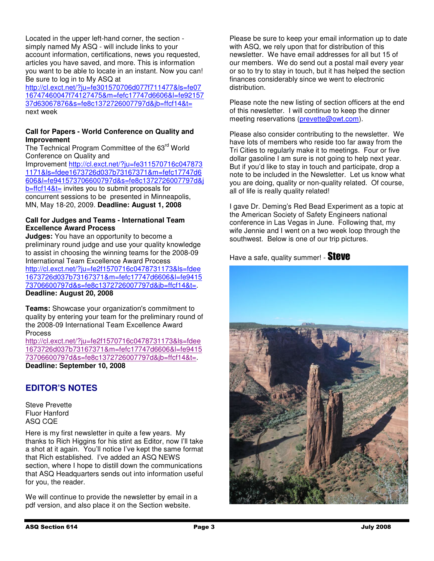Located in the upper left-hand corner, the section simply named My ASQ - will include links to your account information, certifications, news you requested, articles you have saved, and more. This is information you want to be able to locate in an instant. Now you can! Be sure to log in to My ASQ at

http://cl.exct.net/?ju=fe301570706d077f711477&ls=fe07 16747460047f74127475&m=fefc17747d6606&l=fe92157 37d63067876&s=fe8c1372726007797d&jb=ffcf14&t= next week

### **Call for Papers - World Conference on Quality and Improvement**

The Technical Program Committee of the 63rd World Conference on Quality and

Improvement http://cl.exct.net/?ju=fe311570716c047873 1171&ls=fdee1673726d037b73167371&m=fefc17747d6 606&l=fe941573706600797d&s=fe8c1372726007797d&j b=ffcf14&t= invites you to submit proposals for concurrent sessions to be presented in Minneapolis, MN, May 18-20, 2009. **Deadline: August 1, 2008**

#### **Call for Judges and Teams - International Team Excellence Award Process**

**Judges:** You have an opportunity to become a preliminary round judge and use your quality knowledge to assist in choosing the winning teams for the 2008-09 International Team Excellence Award Process http://cl.exct.net/?ju=fe2f1570716c0478731173&ls=fdee 1673726d037b73167371&m=fefc17747d6606&l=fe9415 73706600797d&s=fe8c1372726007797d&jb=ffcf14&t=. **Deadline: August 20, 2008**

**Teams:** Showcase your organization's commitment to quality by entering your team for the preliminary round of the 2008-09 International Team Excellence Award Process

http://cl.exct.net/?ju=fe2f1570716c0478731173&ls=fdee 1673726d037b73167371&m=fefc17747d6606&l=fe9415 73706600797d&s=fe8c1372726007797d&jb=ffcf14&t=. **Deadline: September 10, 2008** 

# **EDITOR'S NOTES**

Steve Prevette Fluor Hanford ASQ CQE

Here is my first newsletter in quite a few years. My thanks to Rich Higgins for his stint as Editor, now I'll take a shot at it again. You'll notice I've kept the same format that Rich established. I've added an ASQ NEWS section, where I hope to distill down the communications that ASQ Headquarters sends out into information useful for you, the reader.

We will continue to provide the newsletter by email in a pdf version, and also place it on the Section website.

Please be sure to keep your email information up to date with ASQ, we rely upon that for distribution of this newsletter. We have email addresses for all but 15 of our members. We do send out a postal mail every year or so to try to stay in touch, but it has helped the section finances considerably since we went to electronic distribution.

Please note the new listing of section officers at the end of this newsletter. I will continue to keep the dinner meeting reservations (prevette@owt.com).

Please also consider contributing to the newsletter. We have lots of members who reside too far away from the Tri Cities to regularly make it to meetings. Four or five dollar gasoline I am sure is not going to help next year. But if you'd like to stay in touch and participate, drop a note to be included in the Newsletter. Let us know what you are doing, quality or non-quality related. Of course, all of life is really quality related!

I gave Dr. Deming's Red Bead Experiment as a topic at the American Society of Safety Engineers national conference in Las Vegas in June. Following that, my wife Jennie and I went on a two week loop through the southwest. Below is one of our trip pictures.

Have a safe, quality summer! - **Steve**